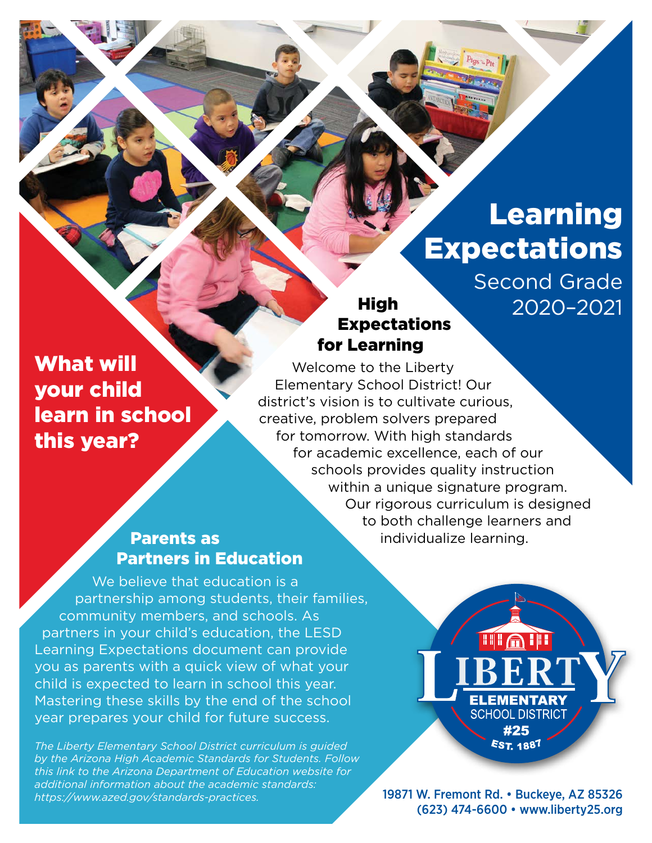# Learning **Expectations**

Second Grade 2020–2021

## What will your child learn in school this year?

## High Expectations for Learning

Welcome to the Liberty Elementary School District! Our district's vision is to cultivate curious, creative, problem solvers prepared for tomorrow. With high standards for academic excellence, each of our schools provides quality instruction within a unique signature program. Our rigorous curriculum is designed to both challenge learners and individualize learning.

## Parents as Partners in Education

We believe that education is a partnership among students, their families, community members, and schools. As partners in your child's education, the LESD Learning Expectations document can provide you as parents with a quick view of what your child is expected to learn in school this year. Mastering these skills by the end of the school year prepares your child for future success.

*The Liberty Elementary School District curriculum is guided by the Arizona High Academic Standards for Students. Follow this link to the Arizona Department of Education website for additional information about the academic standards: [https://www.azed.gov/standards-practices.](https://www.azed.gov/standards-practices)* 

**TILATI ELEMENTARY SCHOOL DISTRICT** #25 EST. 1887

19871 W. Fremont Rd. • Buckeye, AZ 85326 (623) 474-6600 • [www.liberty25.org](http://www.liberty25.org)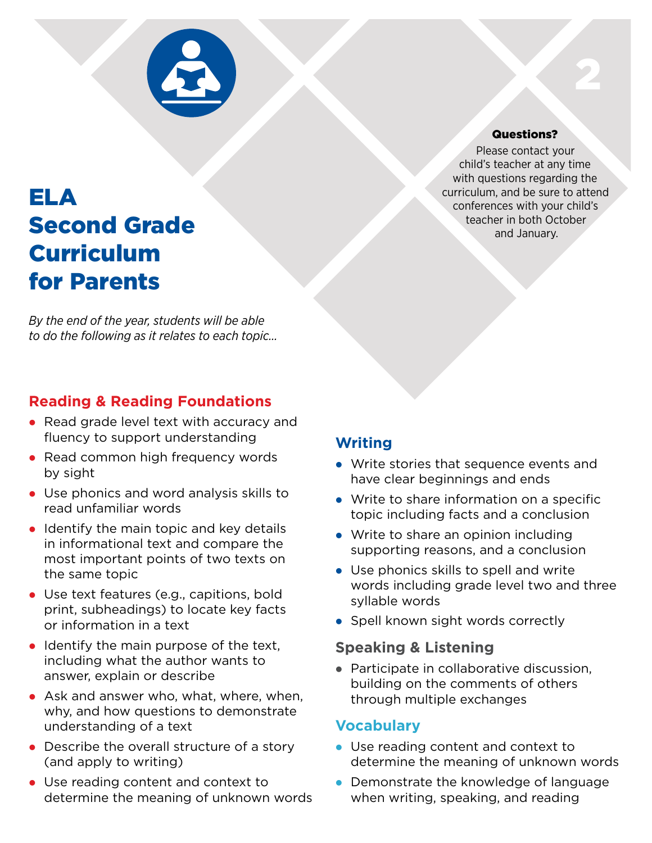

## ELA Second Grade Curriculum for Parents

*By the end of the year, students will be able to do the following as it relates to each topic…*

## **Reading & Reading Foundations**

- Read grade level text with accuracy and fluency to support understanding
- Read common high frequency words by sight
- Use phonics and word analysis skills to read unfamiliar words
- $\bullet$  Identify the main topic and key details in informational text and compare the most important points of two texts on the same topic
- Use text features (e.g., capitions, bold print, subheadings) to locate key facts or information in a text
- $\bullet$  Identify the main purpose of the text, including what the author wants to answer, explain or describe
- $\bullet$  Ask and answer who, what, where, when, why, and how questions to demonstrate understanding of a text
- $\bullet$  Describe the overall structure of a story (and apply to writing)
- Use reading content and context to determine the meaning of unknown words

## **Writing**

- Write stories that sequence events and have clear beginnings and ends
- $\bullet$  Write to share information on a specific topic including facts and a conclusion
- $\bullet$  Write to share an opinion including supporting reasons, and a conclusion
- $\bullet$  Use phonics skills to spell and write words including grade level two and three syllable words
- Spell known sight words correctly

### **Speaking & Listening**

• Participate in collaborative discussion, building on the comments of others through multiple exchanges

### **Vocabulary**

- Use reading content and context to determine the meaning of unknown words
- Demonstrate the knowledge of language when writing, speaking, and reading

#### Questions?

2

Please contact your child's teacher at any time with questions regarding the curriculum, and be sure to attend conferences with your child's teacher in both October and January.